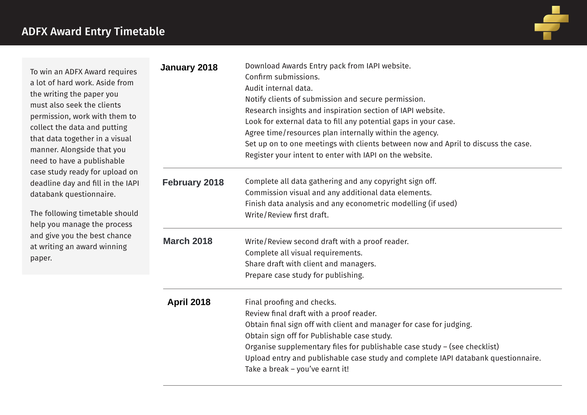

| To win an ADFX Award requires<br>a lot of hard work. Aside from<br>the writing the paper you<br>must also seek the clients<br>permission, work with them to<br>collect the data and putting<br>that data together in a visual<br>manner. Alongside that you<br>need to have a publishable<br>case study ready for upload on<br>deadline day and fill in the IAPI<br>databank questionnaire.<br>The following timetable should<br>help you manage the process<br>and give you the best chance<br>at writing an award winning<br>paper. | January 2018         | Download Awards Entry pack from IAPI website.<br>Confirm submissions.<br>Audit internal data.<br>Notify clients of submission and secure permission.<br>Research insights and inspiration section of IAPI website.<br>Look for external data to fill any potential gaps in your case.<br>Agree time/resources plan internally within the agency.<br>Set up on to one meetings with clients between now and April to discuss the case.<br>Register your intent to enter with IAPI on the website. |
|---------------------------------------------------------------------------------------------------------------------------------------------------------------------------------------------------------------------------------------------------------------------------------------------------------------------------------------------------------------------------------------------------------------------------------------------------------------------------------------------------------------------------------------|----------------------|--------------------------------------------------------------------------------------------------------------------------------------------------------------------------------------------------------------------------------------------------------------------------------------------------------------------------------------------------------------------------------------------------------------------------------------------------------------------------------------------------|
|                                                                                                                                                                                                                                                                                                                                                                                                                                                                                                                                       | <b>February 2018</b> | Complete all data gathering and any copyright sign off.<br>Commission visual and any additional data elements.<br>Finish data analysis and any econometric modelling (if used)<br>Write/Review first draft.                                                                                                                                                                                                                                                                                      |
|                                                                                                                                                                                                                                                                                                                                                                                                                                                                                                                                       | <b>March 2018</b>    | Write/Review second draft with a proof reader.<br>Complete all visual requirements.<br>Share draft with client and managers.<br>Prepare case study for publishing.                                                                                                                                                                                                                                                                                                                               |
|                                                                                                                                                                                                                                                                                                                                                                                                                                                                                                                                       | <b>April 2018</b>    | Final proofing and checks.<br>Review final draft with a proof reader.<br>Obtain final sign off with client and manager for case for judging.<br>Obtain sign off for Publishable case study.<br>Organise supplementary files for publishable case study - (see checklist)<br>Upload entry and publishable case study and complete IAPI databank questionnaire.<br>Take a break - you've earnt it!                                                                                                 |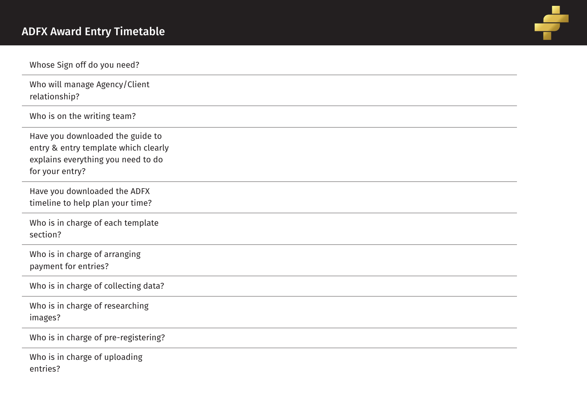

| Whose Sign off do you need?                                                                                                       |
|-----------------------------------------------------------------------------------------------------------------------------------|
| Who will manage Agency/Client<br>relationship?                                                                                    |
| Who is on the writing team?                                                                                                       |
| Have you downloaded the guide to<br>entry & entry template which clearly<br>explains everything you need to do<br>for your entry? |
| Have you downloaded the ADFX<br>timeline to help plan your time?                                                                  |
| Who is in charge of each template<br>section?                                                                                     |
| Who is in charge of arranging<br>payment for entries?                                                                             |
| Who is in charge of collecting data?                                                                                              |
| Who is in charge of researching<br>images?                                                                                        |
| Who is in charge of pre-registering?                                                                                              |
| Who is in charge of uploading<br>entries?                                                                                         |